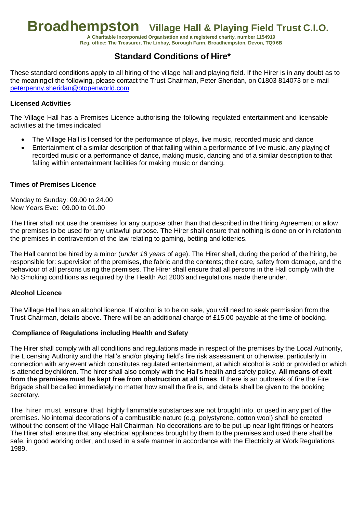# **Broadhempston Village Hall & Playing Field Trust C.I.O.**

**A Charitable Incorporated Organisation and a registered charity, number 1154919 Reg. office: The Treasurer, The Linhay, Borough Farm, Broadhempston, Devon, TQ9 6B**

# **Standard Conditions of Hire\***

These standard conditions apply to all hiring of the village hall and playing field. If the Hirer is in any doubt as to the meaningof the following, please contact the Trust Chairman, Peter Sheridan, on 01803 814073 or e-mail [peterpenny.sheridan@btopenworld.com](mailto:peterpenny.sheridan@btopenworld.com) 

# **Licensed Activities**

The Village Hall has a Premises Licence authorising the following regulated entertainment and licensable activities at the times indicated

- The Village Hall is licensed for the performance of plays, live music, recorded music and dance
- Entertainment of a similar description of that falling within a performance of live music, any playing of recorded music or a performance of dance, making music, dancing and of a similar description to that falling within entertainment facilities for making music or dancing.

# **Times of Premises Licence**

Monday to Sunday: 09.00 to 24.00 New Years Eve: 09.00 to 01.00

The Hirer shall not use the premises for any purpose other than that described in the Hiring Agreement or allow the premises to be used for any unlawful purpose. The Hirer shall ensure that nothing is done on or in relationto the premises in contravention of the law relating to gaming, betting and lotteries.

The Hall cannot be hired by a minor (*under 18 years* of age). The Hirer shall, during the period of the hiring, be responsible for: supervision of the premises, the fabric and the contents; their care, safety from damage, and the behaviour of all persons using the premises. The Hirer shall ensure that all persons in the Hall comply with the No Smoking conditions as required by the Health Act 2006 and regulations made there under.

#### **Alcohol Licence**

The Village Hall has an alcohol licence. If alcohol is to be on sale, you will need to seek permission from the Trust Chairman, details above. There will be an additional charge of £15.00 payable at the time of booking.

#### **Compliance of Regulations including Health and Safety**

The Hirer shall comply with all conditions and regulations made in respect of the premises by the Local Authority, the Licensing Authority and the Hall's and/or playing field's fire risk assessment or otherwise, particularly in connection with any event which constitutes regulated entertainment, at which alcohol is sold or provided or which is attended bychildren. The hirer shall also comply with the Hall's health and safety policy. **All means of exit from the premisesmust be kept free from obstruction at all times**. If there is an outbreak of fire the Fire Brigade shall becalled immediately no matter how small the fire is, and details shall be given to the booking secretary.

The hirer must ensure that highly flammable substances are not brought into, or used in any part of the premises. No internal decorations of a combustible nature (e.g. polystyrene, cotton wool) shall be erected without the consent of the Village Hall Chairman. No decorations are to be put up near light fittings or heaters The Hirer shall ensure that any electrical appliances brought by them to the premises and used there shall be safe, in good working order, and used in a safe manner in accordance with the Electricity at Work Regulations 1989.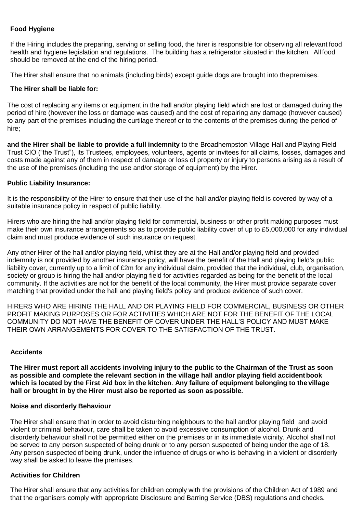# **Food Hygiene**

If the Hiring includes the preparing, serving or selling food, the hirer is responsible for observing all relevant food health and hygiene legislation and regulations. The building has a refrigerator situated in the kitchen. All food should be removed at the end of the hiring period.

The Hirer shall ensure that no animals (including birds) except guide dogs are brought into thepremises.

#### **The Hirer shall be liable for:**

The cost of replacing any items or equipment in the hall and/or playing field which are lost or damaged during the period of hire (however the loss or damage was caused) and the cost of repairing any damage (however caused) to any part of the premises including the curtilage thereof or to the contents of the premises during the period of hire;

**and the Hirer shall be liable to provide a full indemnity** to the Broadhempston Village Hall and Playing Field Trust CIO ("the Trust"), its Trustees, employees, volunteers, agents or invitees for all claims, losses, damages and costs made against any of them in respect of damage or loss of property or injury to persons arising as a result of the use of the premises (including the use and/or storage of equipment) by the Hirer.

#### **Public Liability Insurance:**

It is the responsibility of the Hirer to ensure that their use of the hall and/or playing field is covered by way of a suitable insurance policy in respect of public liability.

Hirers who are hiring the hall and/or playing field for commercial, business or other profit making purposes must make their own insurance arrangements so as to provide public liability cover of up to £5,000,000 for any individual claim and must produce evidence of such insurance on request.

Any other Hirer of the hall and/or playing field, whilst they are at the Hall and/or playing field and provided indemnity is not provided by another insurance policy, will have the benefit of the Hall and playing field's public liability cover, currently up to a limit of £2m for any individual claim, provided that the individual, club, organisation, society or group is hiring the hall and/or playing field for activities regarded as being for the benefit of the local community. If the activities are not for the benefit of the local community, the Hirer must provide separate cover matching that provided under the hall and playing field's policy and produce evidence of such cover.

HIRERS WHO ARE HIRING THE HALL AND OR PLAYING FIELD FOR COMMERCIAL, BUSINESS OR OTHER PROFIT MAKING PURPOSES OR FOR ACTIVITIES WHICH ARE NOT FOR THE BENEFIT OF THE LOCAL COMMUNITY DO NOT HAVE THE BENEFIT OF COVER UNDER THE HALL'S POLICY AND MUST MAKE THEIR OWN ARRANGEMENTS FOR COVER TO THE SATISFACTION OF THE TRUST.

#### **Accidents**

**The Hirer must report all accidents involving injury to the public to the Chairman of the Trust as soon as possible and complete the relevant section in the village hall and/or playing field accidentbook which is located by the First Aid box in the kitchen**. **Any failure of equipment belonging to the village hall or brought in by the Hirer must also be reported as soon as possible.**

#### **Noise and disorderly Behaviour**

The Hirer shall ensure that in order to avoid disturbing neighbours to the hall and/or playing field and avoid violent or criminal behaviour, care shall be taken to avoid excessive consumption of alcohol. Drunk and disorderly behaviour shall not be permitted either on the premises or in its immediate vicinity. Alcohol shall not be served to any person suspected of being drunk or to any person suspected of being under the age of 18. Any person suspected of being drunk, under the influence of drugs or who is behaving in a violent or disorderly way shall be asked to leave the premises.

#### **Activities for Children**

The Hirer shall ensure that any activities for children comply with the provisions of the Children Act of 1989 and that the organisers comply with appropriate Disclosure and Barring Service (DBS) regulations and checks.